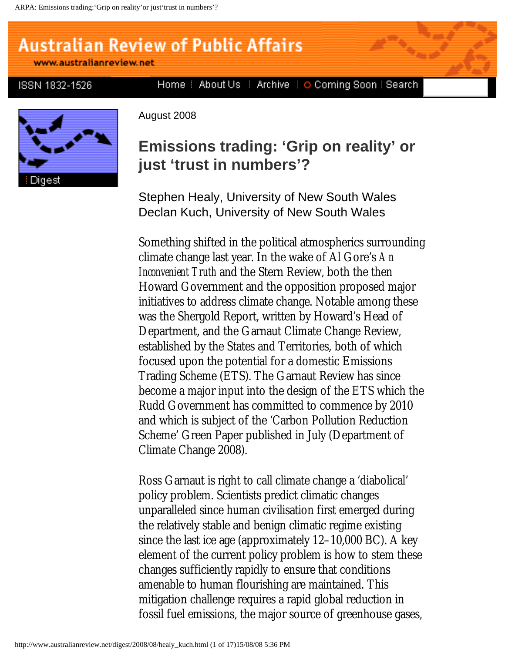# **Australian Review of Public Affairs**

www.australianreview.net

ISSN 1832-1526

Digest

August 2008

## **Emissions trading: 'Grip on reality' or just 'trust in numbers'?**

Home | About Us | Archive | O Coming Soon | Search

Stephen Healy, University of New South Wales Declan Kuch, University of New South Wales

Something shifted in the political atmospherics surrounding climate change last year. In the wake of Al Gore's *An Inconvenient Truth* and the Stern Review, both the then Howard Government and the opposition proposed major initiatives to address climate change. Notable among these was the Shergold Report, written by Howard's Head of Department, and the Garnaut Climate Change Review, established by the States and Territories, both of which focused upon the potential for a domestic Emissions Trading Scheme (ETS). The Garnaut Review has since become a major input into the design of the ETS which the Rudd Government has committed to commence by 2010 and which is subject of the 'Carbon Pollution Reduction Scheme' Green Paper published in July (Department of Climate Change 2008).

Ross Garnaut is right to call climate change a 'diabolical' policy problem. Scientists predict climatic changes unparalleled since human civilisation first emerged during the relatively stable and benign climatic regime existing since the last ice age (approximately 12–10,000 BC). A key element of the current policy problem is how to stem these changes sufficiently rapidly to ensure that conditions amenable to human flourishing are maintained. This mitigation challenge requires a rapid global reduction in fossil fuel emissions, the major source of greenhouse gases,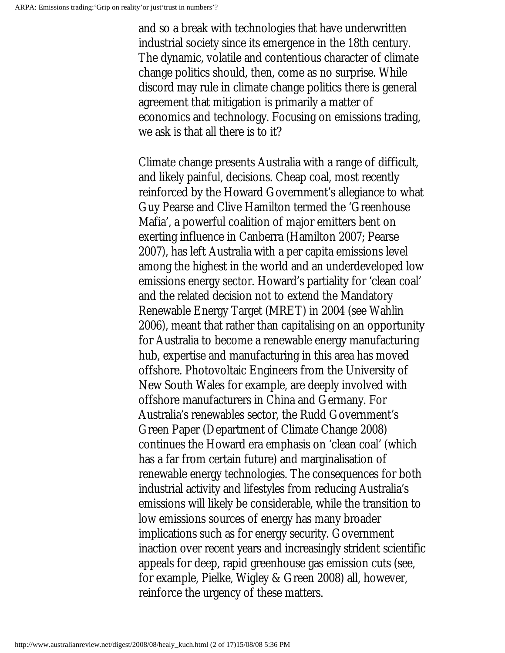and so a break with technologies that have underwritten industrial society since its emergence in the 18th century. The dynamic, volatile and contentious character of climate change politics should, then, come as no surprise. While discord may rule in climate change politics there is general agreement that mitigation is primarily a matter of economics and technology. Focusing on emissions trading, we ask is that all there is to it?

Climate change presents Australia with a range of difficult, and likely painful, decisions. Cheap coal, most recently reinforced by the Howard Government's allegiance to what Guy Pearse and Clive Hamilton termed the 'Greenhouse Mafia', a powerful coalition of major emitters bent on exerting influence in Canberra (Hamilton 2007; Pearse 2007), has left Australia with a per capita emissions level among the highest in the world and an underdeveloped low emissions energy sector. Howard's partiality for 'clean coal' and the related decision not to extend the Mandatory Renewable Energy Target (MRET) in 2004 (see Wahlin 2006), meant that rather than capitalising on an opportunity for Australia to become a renewable energy manufacturing hub, expertise and manufacturing in this area has moved offshore. Photovoltaic Engineers from the University of New South Wales for example, are deeply involved with offshore manufacturers in China and Germany. For Australia's renewables sector, the Rudd Government's Green Paper (Department of Climate Change 2008) continues the Howard era emphasis on 'clean coal' (which has a far from certain future) and marginalisation of renewable energy technologies. The consequences for both industrial activity and lifestyles from reducing Australia's emissions will likely be considerable, while the transition to low emissions sources of energy has many broader implications such as for energy security. Government inaction over recent years and increasingly strident scientific appeals for deep, rapid greenhouse gas emission cuts (see, for example, Pielke, Wigley & Green 2008) all, however, reinforce the urgency of these matters.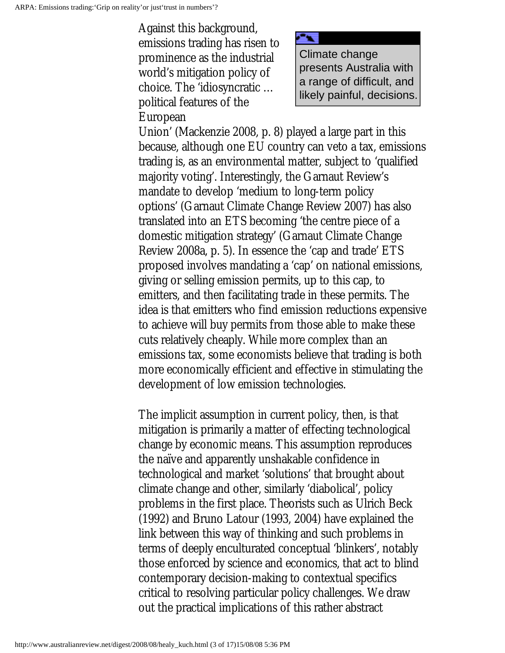Against this background, emissions trading has risen to prominence as the industrial world's mitigation policy of choice. The 'idiosyncratic … political features of the European



Union' (Mackenzie 2008, p. 8) played a large part in this because, although one EU country can veto a tax, emissions trading is, as an environmental matter, subject to 'qualified majority voting'. Interestingly, the Garnaut Review's mandate to develop 'medium to long-term policy options' (Garnaut Climate Change Review 2007) has also translated into an ETS becoming 'the centre piece of a domestic mitigation strategy' (Garnaut Climate Change Review 2008a, p. 5). In essence the 'cap and trade' ETS proposed involves mandating a 'cap' on national emissions, giving or selling emission permits, up to this cap, to emitters, and then facilitating trade in these permits. The idea is that emitters who find emission reductions expensive to achieve will buy permits from those able to make these cuts relatively cheaply. While more complex than an emissions tax, some economists believe that trading is both more economically efficient and effective in stimulating the development of low emission technologies.

The implicit assumption in current policy, then, is that mitigation is primarily a matter of effecting technological change by economic means. This assumption reproduces the naïve and apparently unshakable confidence in technological and market 'solutions' that brought about climate change and other, similarly 'diabolical', policy problems in the first place. Theorists such as Ulrich Beck (1992) and Bruno Latour (1993, 2004) have explained the link between this way of thinking and such problems in terms of deeply enculturated conceptual 'blinkers', notably those enforced by science and economics, that act to blind contemporary decision-making to contextual specifics critical to resolving particular policy challenges. We draw out the practical implications of this rather abstract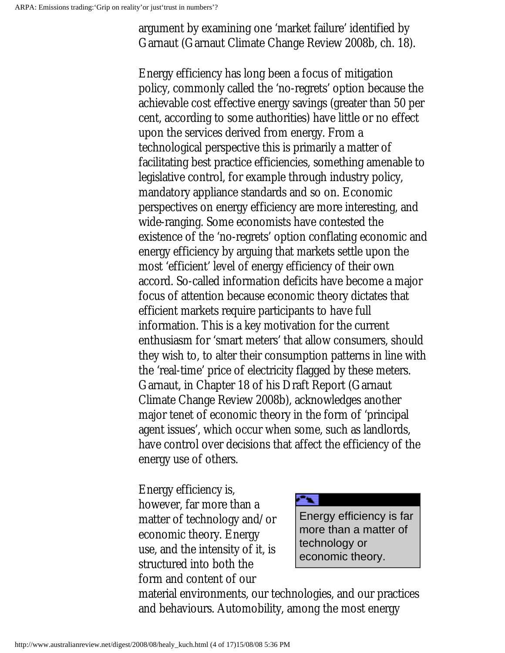argument by examining one 'market failure' identified by Garnaut (Garnaut Climate Change Review 2008b, ch. 18).

Energy efficiency has long been a focus of mitigation policy, commonly called the 'no-regrets' option because the achievable cost effective energy savings (greater than 50 per cent, according to some authorities) have little or no effect upon the services derived from energy. From a technological perspective this is primarily a matter of facilitating best practice efficiencies, something amenable to legislative control, for example through industry policy, mandatory appliance standards and so on. Economic perspectives on energy efficiency are more interesting, and wide-ranging. Some economists have contested the existence of the 'no-regrets' option conflating economic and energy efficiency by arguing that markets settle upon the most 'efficient' level of energy efficiency of their own accord. So-called information deficits have become a major focus of attention because economic theory dictates that efficient markets require participants to have full information. This is a key motivation for the current enthusiasm for 'smart meters' that allow consumers, should they wish to, to alter their consumption patterns in line with the 'real-time' price of electricity flagged by these meters. Garnaut, in Chapter 18 of his Draft Report (Garnaut Climate Change Review 2008b), acknowledges another major tenet of economic theory in the form of 'principal agent issues', which occur when some, such as landlords, have control over decisions that affect the efficiency of the energy use of others.

Energy efficiency is, however, far more than a matter of technology and/or economic theory. Energy use, and the intensity of it, is structured into both the form and content of our



material environments, our technologies, and our practices and behaviours. Automobility, among the most energy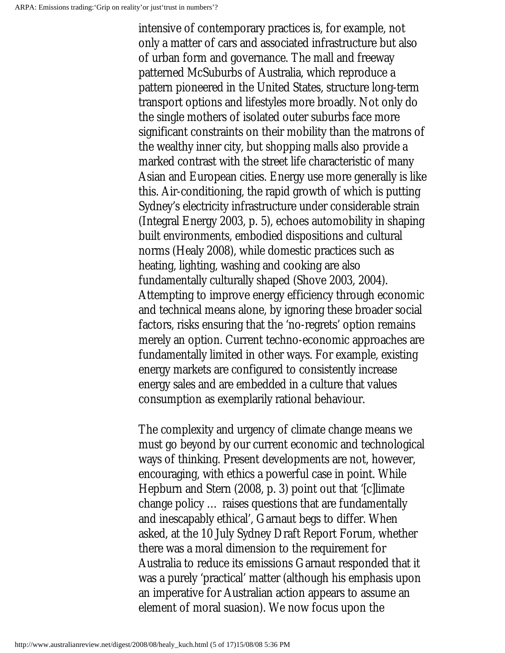intensive of contemporary practices is, for example, not only a matter of cars and associated infrastructure but also of urban form and governance. The mall and freeway patterned McSuburbs of Australia, which reproduce a pattern pioneered in the United States, structure long-term transport options and lifestyles more broadly. Not only do the single mothers of isolated outer suburbs face more significant constraints on their mobility than the matrons of the wealthy inner city, but shopping malls also provide a marked contrast with the street life characteristic of many Asian and European cities. Energy use more generally is like this. Air-conditioning, the rapid growth of which is putting Sydney's electricity infrastructure under considerable strain (Integral Energy 2003, p. 5), echoes automobility in shaping built environments, embodied dispositions and cultural norms (Healy 2008), while domestic practices such as heating, lighting, washing and cooking are also fundamentally culturally shaped (Shove 2003, 2004). Attempting to improve energy efficiency through economic and technical means alone, by ignoring these broader social factors, risks ensuring that the 'no-regrets' option remains merely an option. Current techno-economic approaches are fundamentally limited in other ways. For example, existing energy markets are configured to consistently increase energy sales and are embedded in a culture that values consumption as exemplarily rational behaviour.

The complexity and urgency of climate change means we must go beyond by our current economic and technological ways of thinking. Present developments are not, however, encouraging, with ethics a powerful case in point. While Hepburn and Stern (2008, p. 3) point out that '[c]limate change policy … raises questions that are fundamentally and inescapably ethical', Garnaut begs to differ. When asked, at the 10 July Sydney Draft Report Forum, whether there was a moral dimension to the requirement for Australia to reduce its emissions Garnaut responded that it was a purely 'practical' matter (although his emphasis upon an imperative for Australian action appears to assume an element of moral suasion). We now focus upon the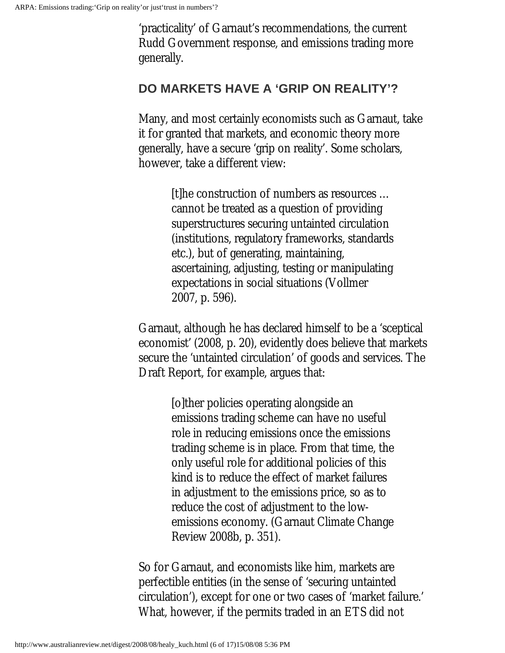'practicality' of Garnaut's recommendations, the current Rudd Government response, and emissions trading more generally.

#### **DO MARKETS HAVE A 'GRIP ON REALITY'?**

Many, and most certainly economists such as Garnaut, take it for granted that markets, and economic theory more generally, have a secure 'grip on reality'. Some scholars, however, take a different view:

> [t]he construction of numbers as resources … cannot be treated as a question of providing superstructures securing untainted circulation (institutions, regulatory frameworks, standards etc.), but of generating, maintaining, ascertaining, adjusting, testing or manipulating expectations in social situations (Vollmer 2007, p. 596).

Garnaut, although he has declared himself to be a 'sceptical economist' (2008, p. 20), evidently does believe that markets secure the 'untainted circulation' of goods and services. The Draft Report, for example, argues that:

> [o]ther policies operating alongside an emissions trading scheme can have no useful role in reducing emissions once the emissions trading scheme is in place. From that time, the only useful role for additional policies of this kind is to reduce the effect of market failures in adjustment to the emissions price, so as to reduce the cost of adjustment to the lowemissions economy. (Garnaut Climate Change Review 2008b, p. 351).

So for Garnaut, and economists like him, markets are perfectible entities (in the sense of 'securing untainted circulation'), except for one or two cases of 'market failure.' What, however, if the permits traded in an ETS did not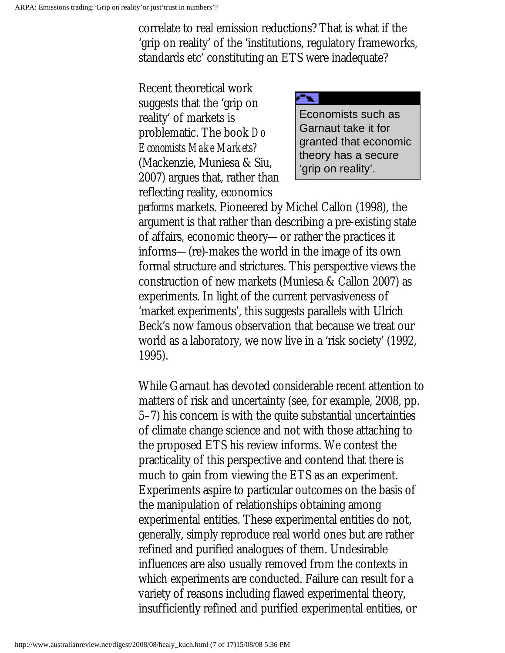correlate to real emission reductions? That is what if the 'grip on reality' of the 'institutions, regulatory frameworks, standards etc' constituting an ETS were inadequate?

Recent theoretical work suggests that the 'grip on reality' of markets is problematic. The book *Do Economists Make Markets?* (Mackenzie, Muniesa & Siu, 2007) argues that, rather than reflecting reality, economics



*performs* markets. Pioneered by Michel Callon (1998), the argument is that rather than describing a pre-existing state of affairs, economic theory—or rather the practices it informs—(re)-makes the world in the image of its own formal structure and strictures. This perspective views the construction of new markets (Muniesa & Callon 2007) as experiments. In light of the current pervasiveness of 'market experiments', this suggests parallels with Ulrich Beck's now famous observation that because we treat our world as a laboratory, we now live in a 'risk society' (1992, 1995).

While Garnaut has devoted considerable recent attention to matters of risk and uncertainty (see, for example, 2008, pp. 5–7) his concern is with the quite substantial uncertainties of climate change science and not with those attaching to the proposed ETS his review informs. We contest the practicality of this perspective and contend that there is much to gain from viewing the ETS as an experiment. Experiments aspire to particular outcomes on the basis of the manipulation of relationships obtaining among experimental entities. These experimental entities do not, generally, simply reproduce real world ones but are rather refined and purified analogues of them. Undesirable influences are also usually removed from the contexts in which experiments are conducted. Failure can result for a variety of reasons including flawed experimental theory, insufficiently refined and purified experimental entities, or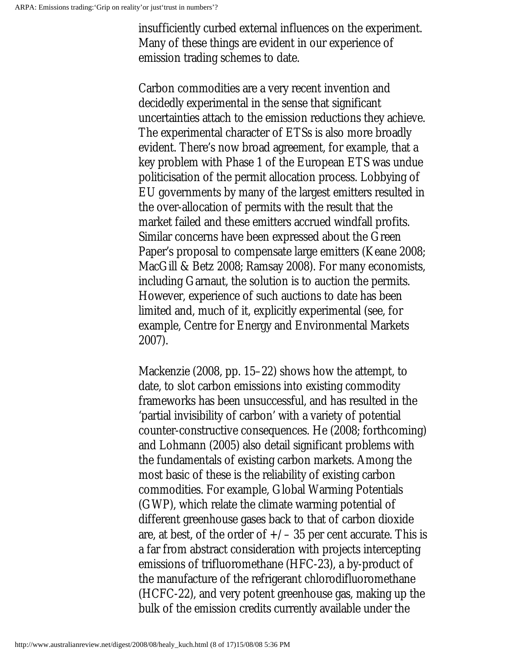insufficiently curbed external influences on the experiment. Many of these things are evident in our experience of emission trading schemes to date.

Carbon commodities are a very recent invention and decidedly experimental in the sense that significant uncertainties attach to the emission reductions they achieve. The experimental character of ETSs is also more broadly evident. There's now broad agreement, for example, that a key problem with Phase 1 of the European ETS was undue politicisation of the permit allocation process. Lobbying of EU governments by many of the largest emitters resulted in the over-allocation of permits with the result that the market failed and these emitters accrued windfall profits. Similar concerns have been expressed about the Green Paper's proposal to compensate large emitters (Keane 2008; MacGill & Betz 2008; Ramsay 2008). For many economists, including Garnaut, the solution is to auction the permits. However, experience of such auctions to date has been limited and, much of it, explicitly experimental (see, for example, Centre for Energy and Environmental Markets 2007).

Mackenzie (2008, pp. 15–22) shows how the attempt, to date, to slot carbon emissions into existing commodity frameworks has been unsuccessful, and has resulted in the 'partial invisibility of carbon' with a variety of potential counter-constructive consequences. He (2008; forthcoming) and Lohmann (2005) also detail significant problems with the fundamentals of existing carbon markets. Among the most basic of these is the reliability of existing carbon commodities. For example, Global Warming Potentials (GWP), which relate the climate warming potential of different greenhouse gases back to that of carbon dioxide are, at best, of the order of  $+\prime$  – 35 per cent accurate. This is a far from abstract consideration with projects intercepting emissions of trifluoromethane (HFC-23), a by-product of the manufacture of the refrigerant chlorodifluoromethane (HCFC-22), and very potent greenhouse gas, making up the bulk of the emission credits currently available under the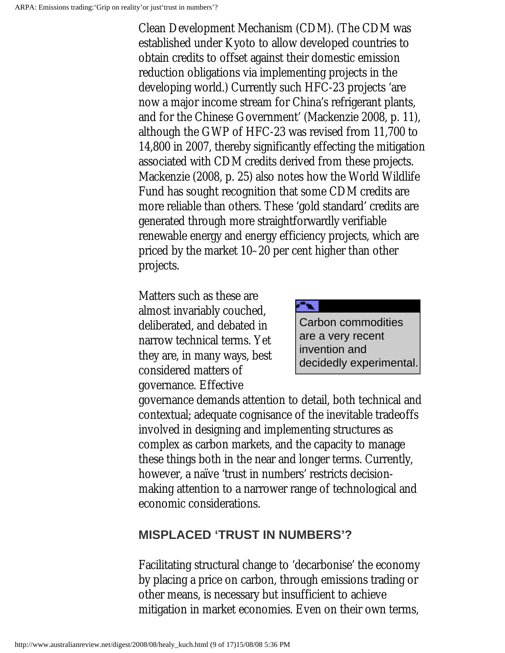Clean Development Mechanism (CDM). (The CDM was established under Kyoto to allow developed countries to obtain credits to offset against their domestic emission reduction obligations via implementing projects in the developing world.) Currently such HFC-23 projects 'are now a major income stream for China's refrigerant plants, and for the Chinese Government' (Mackenzie 2008, p. 11), although the GWP of HFC-23 was revised from 11,700 to 14,800 in 2007, thereby significantly effecting the mitigation associated with CDM credits derived from these projects. Mackenzie (2008, p. 25) also notes how the World Wildlife Fund has sought recognition that some CDM credits are more reliable than others. These 'gold standard' credits are generated through more straightforwardly verifiable renewable energy and energy efficiency projects, which are priced by the market 10–20 per cent higher than other projects.

Matters such as these are almost invariably couched, deliberated, and debated in narrow technical terms. Yet they are, in many ways, best considered matters of governance. Effective



governance demands attention to detail, both technical and contextual; adequate cognisance of the inevitable tradeoffs involved in designing and implementing structures as complex as carbon markets, and the capacity to manage these things both in the near and longer terms. Currently, however, a naïve 'trust in numbers' restricts decisionmaking attention to a narrower range of technological and economic considerations.

### **MISPLACED 'TRUST IN NUMBERS'?**

Facilitating structural change to 'decarbonise' the economy by placing a price on carbon, through emissions trading or other means, is necessary but insufficient to achieve mitigation in market economies. Even on their own terms,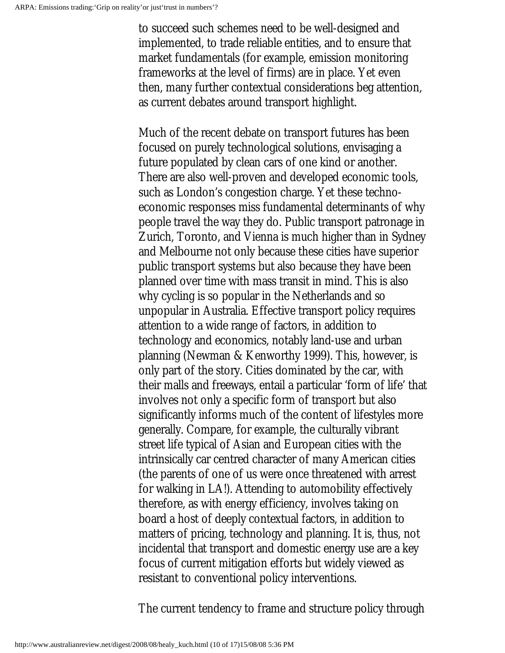to succeed such schemes need to be well-designed and implemented, to trade reliable entities, and to ensure that market fundamentals (for example, emission monitoring frameworks at the level of firms) are in place. Yet even then, many further contextual considerations beg attention, as current debates around transport highlight.

Much of the recent debate on transport futures has been focused on purely technological solutions, envisaging a future populated by clean cars of one kind or another. There are also well-proven and developed economic tools, such as London's congestion charge. Yet these technoeconomic responses miss fundamental determinants of why people travel the way they do. Public transport patronage in Zurich, Toronto, and Vienna is much higher than in Sydney and Melbourne not only because these cities have superior public transport systems but also because they have been planned over time with mass transit in mind. This is also why cycling is so popular in the Netherlands and so unpopular in Australia. Effective transport policy requires attention to a wide range of factors, in addition to technology and economics, notably land-use and urban planning (Newman & Kenworthy 1999). This, however, is only part of the story. Cities dominated by the car, with their malls and freeways, entail a particular 'form of life' that involves not only a specific form of transport but also significantly informs much of the content of lifestyles more generally. Compare, for example, the culturally vibrant street life typical of Asian and European cities with the intrinsically car centred character of many American cities (the parents of one of us were once threatened with arrest for walking in LA!). Attending to automobility effectively therefore, as with energy efficiency, involves taking on board a host of deeply contextual factors, in addition to matters of pricing, technology and planning. It is, thus, not incidental that transport and domestic energy use are a key focus of current mitigation efforts but widely viewed as resistant to conventional policy interventions.

The current tendency to frame and structure policy through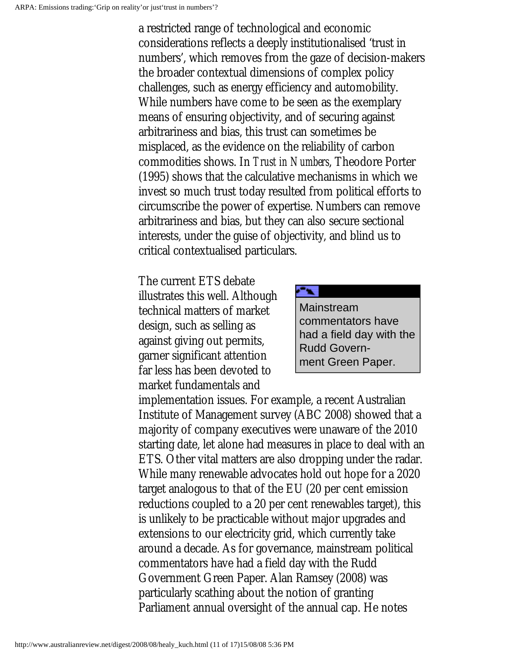a restricted range of technological and economic considerations reflects a deeply institutionalised 'trust in numbers', which removes from the gaze of decision-makers the broader contextual dimensions of complex policy challenges, such as energy efficiency and automobility. While numbers have come to be seen as the exemplary means of ensuring objectivity, and of securing against arbitrariness and bias, this trust can sometimes be misplaced, as the evidence on the reliability of carbon commodities shows. In *Trust in Numbers*, Theodore Porter (1995) shows that the calculative mechanisms in which we invest so much trust today resulted from political efforts to circumscribe the power of expertise. Numbers can remove arbitrariness and bias, but they can also secure sectional interests, under the guise of objectivity, and blind us to critical contextualised particulars.

The current ETS debate illustrates this well. Although technical matters of market design, such as selling as against giving out permits, garner significant attention far less has been devoted to market fundamentals and



implementation issues. For example, a recent Australian Institute of Management survey (ABC 2008) showed that a majority of company executives were unaware of the 2010 starting date, let alone had measures in place to deal with an ETS. Other vital matters are also dropping under the radar. While many renewable advocates hold out hope for a 2020 target analogous to that of the EU (20 per cent emission reductions coupled to a 20 per cent renewables target), this is unlikely to be practicable without major upgrades and extensions to our electricity grid, which currently take around a decade. As for governance, mainstream political commentators have had a field day with the Rudd Government Green Paper. Alan Ramsey (2008) was particularly scathing about the notion of granting Parliament annual oversight of the annual cap. He notes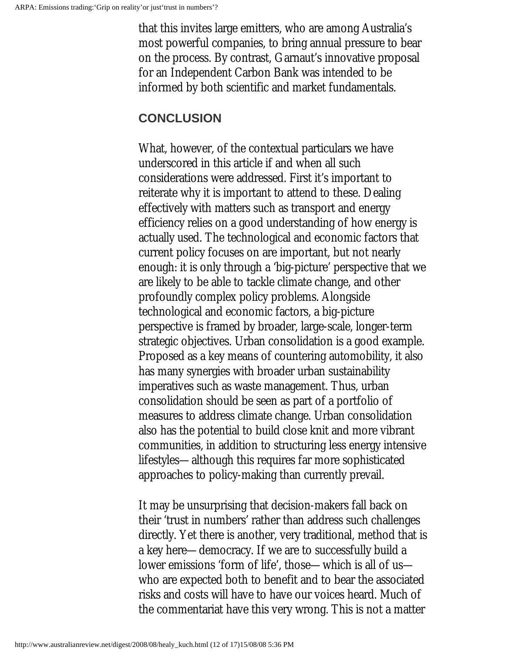that this invites large emitters, who are among Australia's most powerful companies, to bring annual pressure to bear on the process. By contrast, Garnaut's innovative proposal for an Independent Carbon Bank was intended to be informed by both scientific and market fundamentals.

### **CONCLUSION**

What, however, of the contextual particulars we have underscored in this article if and when all such considerations were addressed. First it's important to reiterate why it is important to attend to these. Dealing effectively with matters such as transport and energy efficiency relies on a good understanding of how energy is actually used. The technological and economic factors that current policy focuses on are important, but not nearly enough: it is only through a 'big-picture' perspective that we are likely to be able to tackle climate change, and other profoundly complex policy problems. Alongside technological and economic factors, a big-picture perspective is framed by broader, large-scale, longer-term strategic objectives. Urban consolidation is a good example. Proposed as a key means of countering automobility, it also has many synergies with broader urban sustainability imperatives such as waste management. Thus, urban consolidation should be seen as part of a portfolio of measures to address climate change. Urban consolidation also has the potential to build close knit and more vibrant communities, in addition to structuring less energy intensive lifestyles—although this requires far more sophisticated approaches to policy-making than currently prevail.

It may be unsurprising that decision-makers fall back on their 'trust in numbers' rather than address such challenges directly. Yet there is another, very traditional, method that is a key here—democracy. If we are to successfully build a lower emissions 'form of life', those—which is all of us who are expected both to benefit and to bear the associated risks and costs will have to have our voices heard. Much of the commentariat have this very wrong. This is not a matter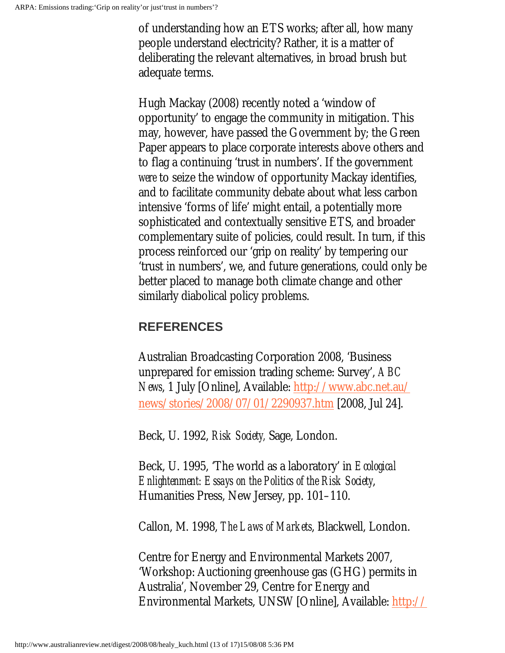of understanding how an ETS works; after all, how many people understand electricity? Rather, it is a matter of deliberating the relevant alternatives, in broad brush but adequate terms.

Hugh Mackay (2008) recently noted a 'window of opportunity' to engage the community in mitigation. This may, however, have passed the Government by; the Green Paper appears to place corporate interests above others and to flag a continuing 'trust in numbers'. If the government *were* to seize the window of opportunity Mackay identifies, and to facilitate community debate about what less carbon intensive 'forms of life' might entail, a potentially more sophisticated and contextually sensitive ETS, and broader complementary suite of policies, could result. In turn, if this process reinforced our 'grip on reality' by tempering our 'trust in numbers', we, and future generations, could only be better placed to manage both climate change and other similarly diabolical policy problems.

### **REFERENCES**

Australian Broadcasting Corporation 2008, 'Business unprepared for emission trading scheme: Survey', *ABC News*, 1 July [Online], Available: [http://www.abc.net.au/](http://www.abc.net.au/news/stories/2008/07/01/2290937.htm) [news/stories/2008/07/01/2290937.htm](http://www.abc.net.au/news/stories/2008/07/01/2290937.htm) [2008, Jul 24].

Beck, U. 1992, *Risk Society,* Sage, London.

Beck, U. 1995, 'The world as a laboratory' in *Ecological Enlightenment: Essays on the Politics of the Risk Society*, Humanities Press, New Jersey, pp. 101–110.

Callon, M. 1998, *The Laws of Markets*, Blackwell, London.

Centre for Energy and Environmental Markets 2007, 'Workshop: Auctioning greenhouse gas (GHG) permits in Australia', November 29, Centre for Energy and Environmental Markets, UNSW [Online], Available: [http://](http://www.ceem.unsw.edu.au/content/29thworkshop.cfm?ss=1)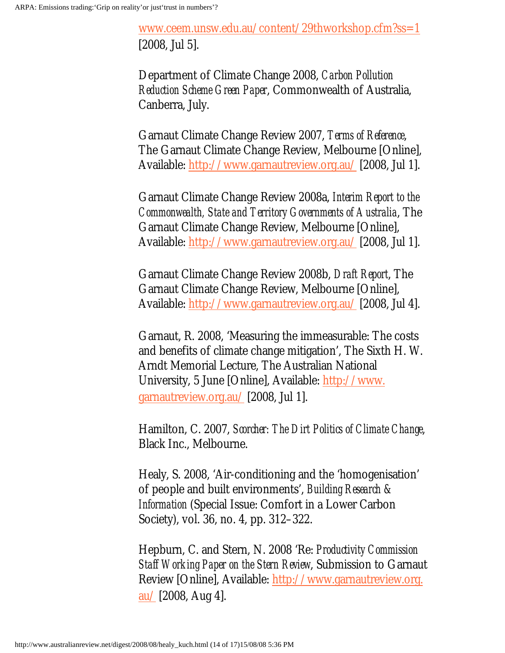[www.ceem.unsw.edu.au/content/29thworkshop.cfm?ss=1](http://www.ceem.unsw.edu.au/content/29thworkshop.cfm?ss=1) [2008, Jul 5].

Department of Climate Change 2008, *Carbon Pollution Reduction Scheme Green Paper*, Commonwealth of Australia, Canberra, July.

Garnaut Climate Change Review 2007, *Terms of Reference*, The Garnaut Climate Change Review, Melbourne [Online], Available: [http://www.garnautreview.org.au/](http://www.garnautreview.org.au/CA25734E0016A131/WebObj/GarnautClimateChangeReviewTermsofReference2007/$File/Garnaut%20Climate%20Change%20Review%20Terms%20of%20Reference%202007.pdf) [2008, Jul 1].

Garnaut Climate Change Review 2008a, *Interim Report to the Commonwealth, State and Territory Governments of Australia*, The Garnaut Climate Change Review, Melbourne [Online], Available: [http://www.garnautreview.org.au/](http://www.garnautreview.org.au/CA25734E0016A131/WebObj/GarnautClimateChangeReviewInterimReport-Feb08/$File/Garnaut%20Climate%20Change%20Review%20Interim%20Report%20-%20Feb%2008.pdf) [2008, Jul 1].

Garnaut Climate Change Review 2008b, *Draft Report*, The Garnaut Climate Change Review, Melbourne [Online], Available: [http://www.garnautreview.org.au/](http://www.garnautreview.org.au/CA25734E0016A131/pages/draft-report-) [2008, Jul 4].

Garnaut, R. 2008, 'Measuring the immeasurable: The costs and benefits of climate change mitigation', The Sixth H. W. Arndt Memorial Lecture, The Australian National University, 5 June [Online], Available: [http://www.](http://www.garnautreview.org.au/CA25734E0016A131/WebObj/MeasuringtheImmeasurable-TheCostsandBenefitsofClimateChangeMitigation,ProfessorRossGarnaut/$File/Measuring%20the%20Immeasurable-%20The%20Costs%20and%20Benefits%20of%20Climate%20Change%20Mitigation,%20Professor%20Ross%20Garnaut.pdf) [garnautreview.org.au/](http://www.garnautreview.org.au/CA25734E0016A131/WebObj/MeasuringtheImmeasurable-TheCostsandBenefitsofClimateChangeMitigation,ProfessorRossGarnaut/$File/Measuring%20the%20Immeasurable-%20The%20Costs%20and%20Benefits%20of%20Climate%20Change%20Mitigation,%20Professor%20Ross%20Garnaut.pdf) [2008, Jul 1].

Hamilton, C. 2007, *Scorcher: The Dirt Politics of Climate Change*, Black Inc., Melbourne.

Healy, S. 2008, 'Air-conditioning and the 'homogenisation' of people and built environments', *Building Research & Information* (Special Issue: Comfort in a Lower Carbon Society), vol. 36, no. 4, pp. 312–322.

Hepburn, C. and Stern, N. 2008 'Re: *Productivity Commission Staff Working Paper on the Stern Review*, Submission to Garnaut Review [Online], Available: [http://www.garnautreview.org.](http://www.garnautreview.org.au/CA25734E0016A131/WebObj/LetterfromProfLordNicholasSternandDrCameronHepburnonProdCommWP/$File/Letter%20from%20Prof%20Lord%20Nicholas%20Stern%20and%20Dr%20Cameron%20Hepburn%20on%20ProdCommWP.pdf)  $au/$  [2008, Aug 4].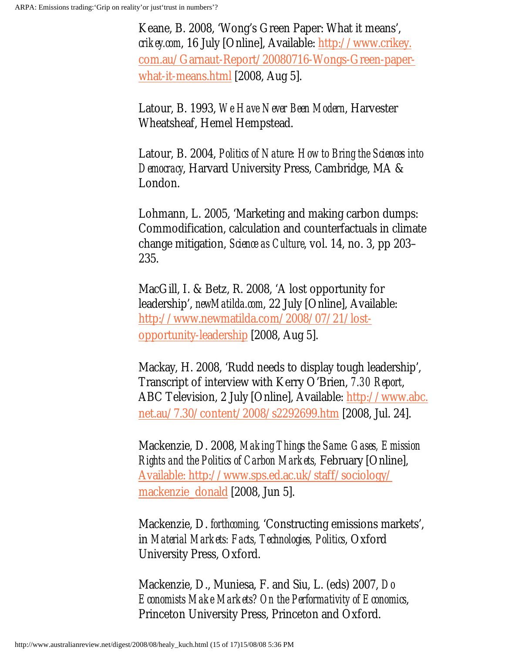Keane, B. 2008, 'Wong's Green Paper: What it means', *crikey.com*, 16 July [Online], Available: [http://www.crikey.](http://www.crikey.com.au/Garnaut-Report/20080716-Wongs-Green-paper-what-it-means.html) [com.au/Garnaut-Report/20080716-Wongs-Green-paper](http://www.crikey.com.au/Garnaut-Report/20080716-Wongs-Green-paper-what-it-means.html)[what-it-means.html](http://www.crikey.com.au/Garnaut-Report/20080716-Wongs-Green-paper-what-it-means.html) [2008, Aug 5].

Latour, B. 1993, *We Have Never Been Modern*, Harvester Wheatsheaf, Hemel Hempstead.

Latour, B. 2004, *Politics of Nature: How to Bring the Sciences into Democracy*, Harvard University Press, Cambridge, MA & London.

Lohmann, L. 2005, 'Marketing and making carbon dumps: Commodification, calculation and counterfactuals in climate change mitigation, *Science as Culture*, vol. 14, no. 3, pp 203– 235.

MacGill, I. & Betz, R. 2008, 'A lost opportunity for leadership', *newMatilda.com*, 22 July [Online], Available: [http://www.newmatilda.com/2008/07/21/lost](available:%20http://www.sps.ed.ac.uk/staff/sociology/mackenzie_donald)[opportunity-leadership](available:%20http://www.sps.ed.ac.uk/staff/sociology/mackenzie_donald) [2008, Aug 5].

Mackay, H. 2008, 'Rudd needs to display tough leadership', Transcript of interview with Kerry O'Brien, *7.30 Report*, ABC Television, 2 July [Online], Available: [http://www.abc.](http://www.abc.net.au/7.30/content/2008/s2292699.htm) [net.au/7.30/content/2008/s2292699.htm](http://www.abc.net.au/7.30/content/2008/s2292699.htm) [2008, Jul. 24].

Mackenzie, D. 2008, *Making Things the Same: Gases, Emission Rights and the Politics of Carbon Markets,* February [Online], Available: [http://www.sps.ed.ac.uk/staff/sociology/](available:%20http://www.sps.ed.ac.uk/staff/sociology/mackenzie_donald) [mackenzie\\_donald](available:%20http://www.sps.ed.ac.uk/staff/sociology/mackenzie_donald) [2008, Jun 5].

Mackenzie, D. *forthcoming*, 'Constructing emissions markets', in *Material Markets: Facts, Technologies, Politics*, Oxford University Press, Oxford.

Mackenzie, D., Muniesa, F. and Siu, L. (eds) 2007, *Do Economists Make Markets? On the Performativity of Economics*, Princeton University Press, Princeton and Oxford.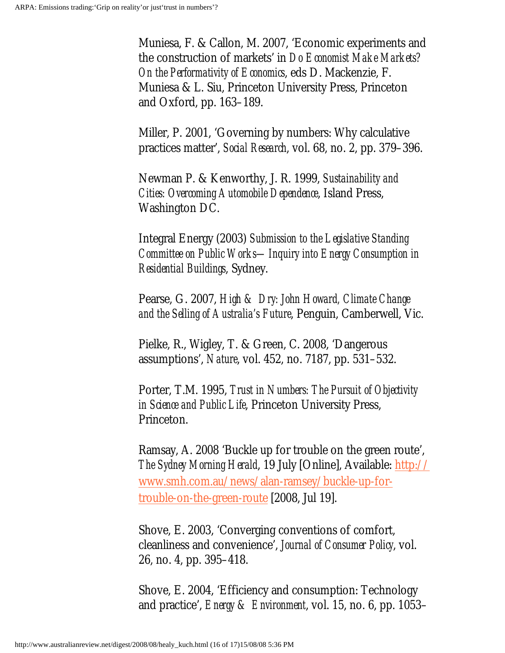Muniesa, F. & Callon, M. 2007, 'Economic experiments and the construction of markets' in *Do Economist Make Markets? On the Performativity of Economics*, eds D. Mackenzie, F. Muniesa & L. Siu, Princeton University Press, Princeton and Oxford, pp. 163–189.

Miller, P. 2001, 'Governing by numbers: Why calculative practices matter', *Social Research*, vol. 68, no. 2, pp. 379–396.

Newman P. & Kenworthy, J. R. 1999, *Sustainability and Cities: Overcoming Automobile Dependence*, Island Press, Washington DC.

Integral Energy (2003) *Submission to the Legislative Standing Committee on Public Works—Inquiry into Energy Consumption in Residential Buildings*, Sydney.

Pearse, G. 2007, *High & Dry: John Howard, Climate Change and the Selling of Australia's Future*, Penguin, Camberwell, Vic.

Pielke, R., Wigley, T. & Green, C. 2008, 'Dangerous assumptions', *Nature*, vol. 452, no. 7187, pp. 531–532.

Porter, T.M. 1995, *Trust in Numbers: The Pursuit of Objectivity in Science and Public Life*, Princeton University Press, Princeton.

Ramsay, A. 2008 'Buckle up for trouble on the green route', *The Sydney Morning Herald*, 19 July [Online], Available: [http://](http://www.smh.com.au/news/alan-ramsey/buckle-up-for-trouble-on-the-green-route) [www.smh.com.au/news/alan-ramsey/buckle-up-for](http://www.smh.com.au/news/alan-ramsey/buckle-up-for-trouble-on-the-green-route)[trouble-on-the-green-route](http://www.smh.com.au/news/alan-ramsey/buckle-up-for-trouble-on-the-green-route) [2008, Jul 19].

Shove, E. 2003, 'Converging conventions of comfort, cleanliness and convenience', *Journal of Consumer Policy*, vol. 26, no. 4, pp. 395–418.

Shove, E. 2004, 'Efficiency and consumption: Technology and practice', *Energy & Environment*, vol. 15, no. 6, pp. 1053–